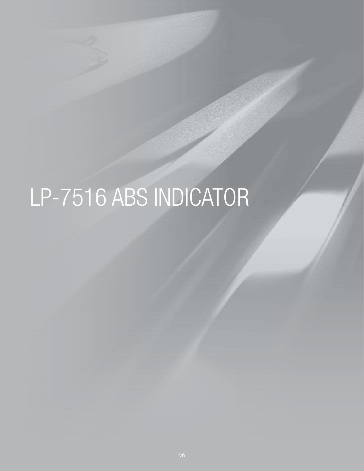# LP-7516 ABS INDICATOR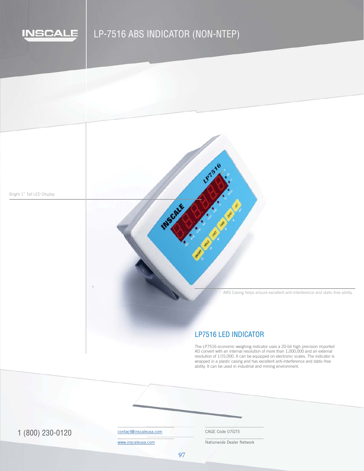

# LP-7516 ABS INDICATOR (NON-NTEP)

**MSCALE** 

Bright 1" Tall LED DIsplay

ABS Casing helps ensure excellent anti-interference and static-free ability.

## LP7516 LED INDICATOR

187516

ANT COM

The LP7516 economic weighing indicator uses a 20-bit high precision imported resolution of 1/15,000. It can be equipped on electronic scales. The indicator is wrapped in a plastic casing and i • Ships immediately in 1 business day AD convert with an internal resolution of more than 1,000,000 and an external wrapped in a plastic casing and has excellent anti-interference and static-free ability. It can be used in industrial and mining environment.

1 (800) 230-0120 COntact@inscaleusa.com CAGE Code 07GT5

contact@inscaleusa.com

www.inscaleusa.com

Nationwide Dealer Network

97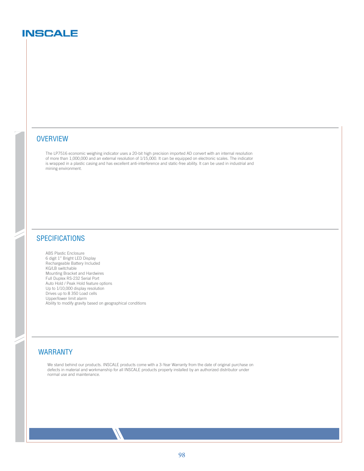# **INSCALE**

#### **OVERVIEW**

The LP7516 economic weighing indicator uses a 20-bit high precision imported AD convert with an internal resolution of more than 1,000,000 and an external resolution of 1/15,000. It can be equipped on electronic scales. The indicator is wrapped in a plastic casing and has excellent anti-interference and static-free ability. It can be used in industrial and mining environment.

## **SPECIFICATIONS**

ABS Plastic Enclosure 6 digit 1" Bright LED Display Rechargeable Battery Included KG/LB switchable Mounting Bracket and Hardwires Full Duplex RS-232 Serial Port Auto Hold / Peak Hold feature options Up to 1/10,000 display resolution Drives up to 8 350 Load cells Upper/lower limit alarm Ability to modify gravity based on geographical conditions

#### WARRANTY

We stand behind our products. INSCALE products come with a 3-Year Warranty from the date of original purchase on defects in material and workmanship for all INSCALE products properly installed by an authorized distributor under normal use and maintenance.